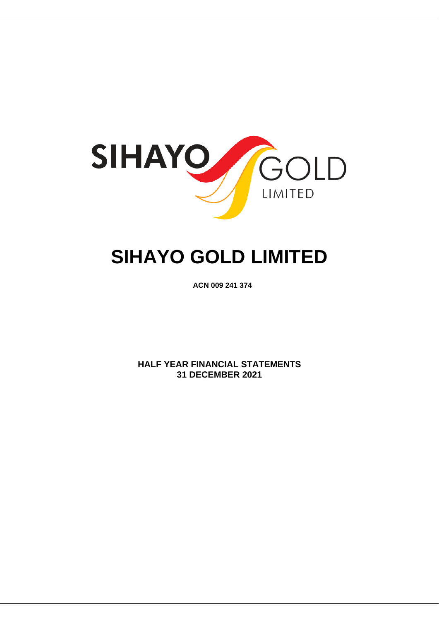

# **SIHAYO GOLD LIMITED**

**ACN 009 241 374**

**HALF YEAR FINANCIAL STATEMENTS 31 DECEMBER 2021**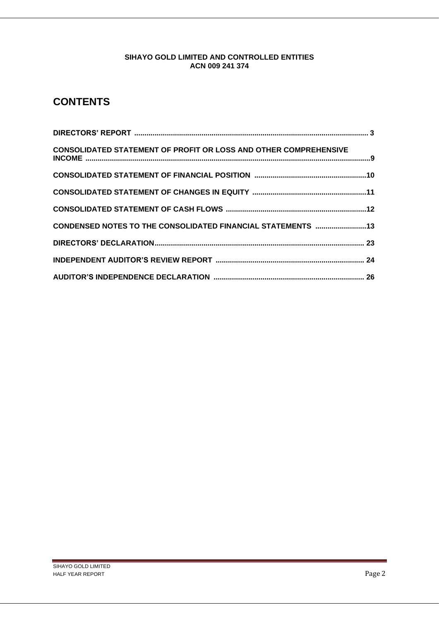## **CONTENTS**

| <b>CONSOLIDATED STATEMENT OF PROFIT OR LOSS AND OTHER COMPREHENSIVE</b> |  |
|-------------------------------------------------------------------------|--|
|                                                                         |  |
|                                                                         |  |
|                                                                         |  |
| CONDENSED NOTES TO THE CONSOLIDATED FINANCIAL STATEMENTS 13             |  |
|                                                                         |  |
|                                                                         |  |
|                                                                         |  |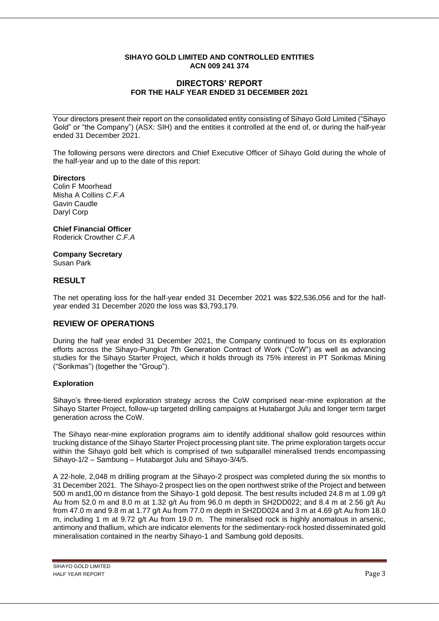## **DIRECTORS' REPORT FOR THE HALF YEAR ENDED 31 DECEMBER 2021**

Your directors present their report on the consolidated entity consisting of Sihayo Gold Limited ("Sihayo Gold" or "the Company") (ASX: SIH) and the entities it controlled at the end of, or during the half-year ended 31 December 2021.

The following persons were directors and Chief Executive Officer of Sihayo Gold during the whole of the half-year and up to the date of this report:

#### **Directors**

Colin F Moorhead Misha A Collins *C.F.A* Gavin Caudle Daryl Corp

**Chief Financial Officer** Roderick Crowther *C.F.A*

**Company Secretary** Susan Park

## **RESULT**

The net operating loss for the half-year ended 31 December 2021 was \$22,536,056 and for the halfyear ended 31 December 2020 the loss was \$3,793,179.

## **REVIEW OF OPERATIONS**

During the half year ended 31 December 2021, the Company continued to focus on its exploration efforts across the Sihayo-Pungkut 7th Generation Contract of Work ("CoW") as well as advancing studies for the Sihayo Starter Project, which it holds through its 75% interest in PT Sorikmas Mining ("Sorikmas") (together the "Group").

#### **Exploration**

Sihayo's three-tiered exploration strategy across the CoW comprised near-mine exploration at the Sihayo Starter Project, follow-up targeted drilling campaigns at Hutabargot Julu and longer term target generation across the CoW.

The Sihayo near-mine exploration programs aim to identify additional shallow gold resources within trucking distance of the Sihayo Starter Project processing plant site. The prime exploration targets occur within the Sihayo gold belt which is comprised of two subparallel mineralised trends encompassing Sihayo-1/2 – Sambung – Hutabargot Julu and Sihayo-3/4/5.

A 22-hole, 2,048 m drilling program at the Sihayo-2 prospect was completed during the six months to 31 December 2021. The Sihayo-2 prospect lies on the open northwest strike of the Project and between 500 m and1,00 m distance from the Sihayo-1 gold deposit. The best results included 24.8 m at 1.09 g/t Au from 52.0 m and 8.0 m at 1.32 g/t Au from 96.0 m depth in SH2DD022; and 8.4 m at 2.56 g/t Au from 47.0 m and 9.8 m at 1.77 g/t Au from 77.0 m depth in SH2DD024 and 3 m at 4.69 g/t Au from 18.0 m, including 1 m at 9.72 g/t Au from 19.0 m. The mineralised rock is highly anomalous in arsenic, antimony and thallium, which are indicator elements for the sedimentary-rock hosted disseminated gold mineralisation contained in the nearby Sihayo-1 and Sambung gold deposits.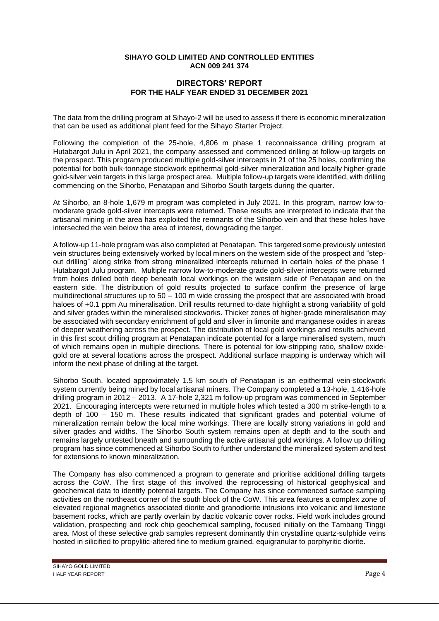## **DIRECTORS' REPORT FOR THE HALF YEAR ENDED 31 DECEMBER 2021**

The data from the drilling program at Sihayo-2 will be used to assess if there is economic mineralization that can be used as additional plant feed for the Sihayo Starter Project.

Following the completion of the 25-hole, 4,806 m phase 1 reconnaissance drilling program at Hutabargot Julu in April 2021, the company assessed and commenced drilling at follow-up targets on the prospect. This program produced multiple gold-silver intercepts in 21 of the 25 holes, confirming the potential for both bulk-tonnage stockwork epithermal gold-silver mineralization and locally higher-grade gold-silver vein targets in this large prospect area. Multiple follow-up targets were identified, with drilling commencing on the Sihorbo, Penatapan and Sihorbo South targets during the quarter.

At Sihorbo, an 8-hole 1,679 m program was completed in July 2021. In this program, narrow low-tomoderate grade gold-silver intercepts were returned. These results are interpreted to indicate that the artisanal mining in the area has exploited the remnants of the Sihorbo vein and that these holes have intersected the vein below the area of interest, downgrading the target.

A follow-up 11-hole program was also completed at Penatapan. This targeted some previously untested vein structures being extensively worked by local miners on the western side of the prospect and "stepout drilling" along strike from strong mineralized intercepts returned in certain holes of the phase 1 Hutabargot Julu program. Multiple narrow low-to-moderate grade gold-silver intercepts were returned from holes drilled both deep beneath local workings on the western side of Penatapan and on the eastern side. The distribution of gold results projected to surface confirm the presence of large multidirectional structures up to 50 – 100 m wide crossing the prospect that are associated with broad haloes of +0.1 ppm Au mineralisation. Drill results returned to-date highlight a strong variability of gold and silver grades within the mineralised stockworks. Thicker zones of higher-grade mineralisation may be associated with secondary enrichment of gold and silver in limonite and manganese oxides in areas of deeper weathering across the prospect. The distribution of local gold workings and results achieved in this first scout drilling program at Penatapan indicate potential for a large mineralised system, much of which remains open in multiple directions. There is potential for low-stripping ratio, shallow oxidegold ore at several locations across the prospect. Additional surface mapping is underway which will inform the next phase of drilling at the target.

Sihorbo South, located approximately 1.5 km south of Penatapan is an epithermal vein-stockwork system currently being mined by local artisanal miners. The Company completed a 13-hole, 1,416-hole drilling program in 2012 – 2013. A 17-hole 2,321 m follow-up program was commenced in September 2021. Encouraging intercepts were returned in multiple holes which tested a 300 m strike-length to a depth of 100 – 150 m. These results indicated that significant grades and potential volume of mineralization remain below the local mine workings. There are locally strong variations in gold and silver grades and widths. The Sihorbo South system remains open at depth and to the south and remains largely untested bneath and surrounding the active artisanal gold workings. A follow up drilling program has since commenced at Sihorbo South to further understand the mineralized system and test for extensions to known mineralization.

The Company has also commenced a program to generate and prioritise additional drilling targets across the CoW. The first stage of this involved the reprocessing of historical geophysical and geochemical data to identify potential targets. The Company has since commenced surface sampling activities on the northeast corner of the south block of the CoW. This area features a complex zone of elevated regional magnetics associated diorite and granodiorite intrusions into volcanic and limestone basement rocks, which are partly overlain by dacitic volcanic cover rocks. Field work includes ground validation, prospecting and rock chip geochemical sampling, focused initially on the Tambang Tinggi area. Most of these selective grab samples represent dominantly thin crystalline quartz-sulphide veins hosted in silicified to propylitic-altered fine to medium grained, equigranular to porphyritic diorite.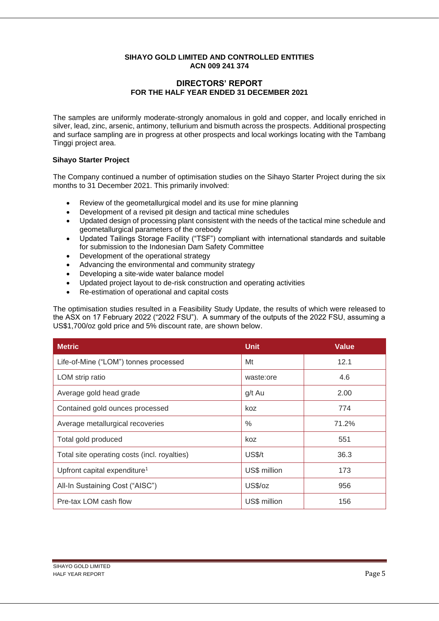## **DIRECTORS' REPORT FOR THE HALF YEAR ENDED 31 DECEMBER 2021**

The samples are uniformly moderate-strongly anomalous in gold and copper, and locally enriched in silver, lead, zinc, arsenic, antimony, tellurium and bismuth across the prospects. Additional prospecting and surface sampling are in progress at other prospects and local workings locating with the Tambang Tinggi project area.

## **Sihayo Starter Project**

The Company continued a number of optimisation studies on the Sihayo Starter Project during the six months to 31 December 2021. This primarily involved:

- Review of the geometallurgical model and its use for mine planning
- Development of a revised pit design and tactical mine schedules
- Updated design of processing plant consistent with the needs of the tactical mine schedule and geometallurgical parameters of the orebody
- Updated Tailings Storage Facility ("TSF") compliant with international standards and suitable for submission to the Indonesian Dam Safety Committee
- Development of the operational strategy
- Advancing the environmental and community strategy
- Developing a site-wide water balance model
- Updated project layout to de-risk construction and operating activities
- Re-estimation of operational and capital costs

The optimisation studies resulted in a Feasibility Study Update, the results of which were released to the ASX on 17 February 2022 ("2022 FSU"). A summary of the outputs of the 2022 FSU, assuming a US\$1,700/oz gold price and 5% discount rate, are shown below.

| <b>Metric</b>                                | <b>Unit</b>  | <b>Value</b> |
|----------------------------------------------|--------------|--------------|
| Life-of-Mine ("LOM") tonnes processed        | Mt           | 12.1         |
| LOM strip ratio                              | waste:ore    | 4.6          |
| Average gold head grade                      | g/t Au       | 2.00         |
| Contained gold ounces processed              | koz          | 774          |
| Average metallurgical recoveries             | $\%$         | 71.2%        |
| Total gold produced                          | koz          | 551          |
| Total site operating costs (incl. royalties) | US\$/t       | 36.3         |
| Upfront capital expenditure <sup>1</sup>     | US\$ million | 173          |
| All-In Sustaining Cost ("AISC")              | US\$/oz      | 956          |
| Pre-tax LOM cash flow                        | US\$ million | 156          |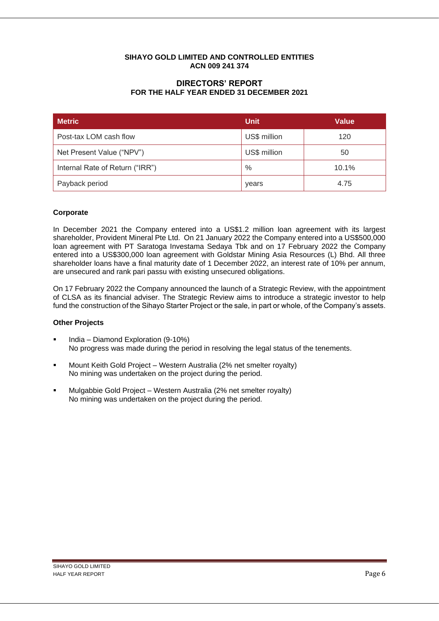## **DIRECTORS' REPORT FOR THE HALF YEAR ENDED 31 DECEMBER 2021**

| <b>Metric</b>                   | <b>Unit</b>  | <b>Value</b> |
|---------------------------------|--------------|--------------|
| Post-tax LOM cash flow          | US\$ million | 120          |
| Net Present Value ("NPV")       | US\$ million | 50           |
| Internal Rate of Return ("IRR") | $\%$         | 10.1%        |
| Payback period                  | years        | 4.75         |

## **Corporate**

In December 2021 the Company entered into a US\$1.2 million loan agreement with its largest shareholder, Provident Mineral Pte Ltd. On 21 January 2022 the Company entered into a US\$500,000 loan agreement with PT Saratoga Investama Sedaya Tbk and on 17 February 2022 the Company entered into a US\$300,000 loan agreement with Goldstar Mining Asia Resources (L) Bhd. All three shareholder loans have a final maturity date of 1 December 2022, an interest rate of 10% per annum, are unsecured and rank pari passu with existing unsecured obligations.

On 17 February 2022 the Company announced the launch of a Strategic Review, with the appointment of CLSA as its financial adviser. The Strategic Review aims to introduce a strategic investor to help fund the construction of the Sihayo Starter Project or the sale, in part or whole, of the Company's assets.

## **Other Projects**

- India Diamond Exploration (9-10%) No progress was made during the period in resolving the legal status of the tenements.
- Mount Keith Gold Project Western Australia (2% net smelter royalty) No mining was undertaken on the project during the period.
- Mulgabbie Gold Project Western Australia (2% net smelter royalty) No mining was undertaken on the project during the period.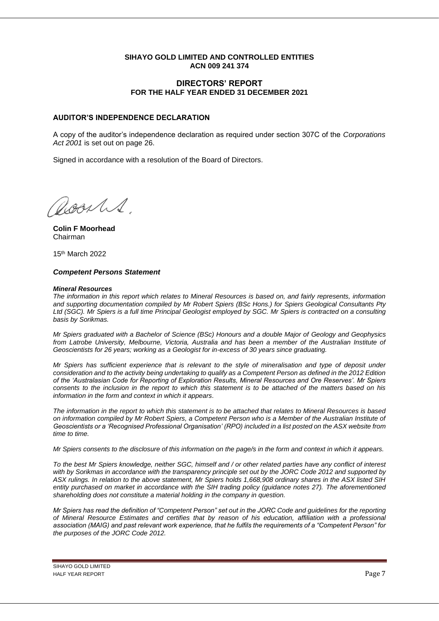## **DIRECTORS' REPORT FOR THE HALF YEAR ENDED 31 DECEMBER 2021**

## **AUDITOR'S INDEPENDENCE DECLARATION**

A copy of the auditor's independence declaration as required under section 307C of the *Corporations Act 2001* is set out on page 26.

Signed in accordance with a resolution of the Board of Directors.

acarles

**Colin F Moorhead** Chairman

15 th March 2022

#### *Competent Persons Statement*

#### *Mineral Resources*

*The information in this report which relates to Mineral Resources is based on, and fairly represents, information and supporting documentation compiled by Mr Robert Spiers (BSc Hons.) for Spiers Geological Consultants Pty Ltd (SGC). Mr Spiers is a full time Principal Geologist employed by SGC. Mr Spiers is contracted on a consulting basis by Sorikmas.*

*Mr Spiers graduated with a Bachelor of Science (BSc) Honours and a double Major of Geology and Geophysics from Latrobe University, Melbourne, Victoria, Australia and has been a member of the Australian Institute of Geoscientists for 26 years; working as a Geologist for in-excess of 30 years since graduating.*

*Mr Spiers has sufficient experience that is relevant to the style of mineralisation and type of deposit under consideration and to the activity being undertaking to qualify as a Competent Person as defined in the 2012 Edition of the 'Australasian Code for Reporting of Exploration Results, Mineral Resources and Ore Reserves'. Mr Spiers consents to the inclusion in the report to which this statement is to be attached of the matters based on his information in the form and context in which it appears.*

*The information in the report to which this statement is to be attached that relates to Mineral Resources is based on information compiled by Mr Robert Spiers, a Competent Person who is a Member of the Australian Institute of Geoscientists or a 'Recognised Professional Organisation' (RPO) included in a list posted on the ASX website from time to time.* 

*Mr Spiers consents to the disclosure of this information on the page/s in the form and context in which it appears.*

*To the best Mr Spiers knowledge, neither SGC, himself and / or other related parties have any conflict of interest with by Sorikmas in accordance with the transparency principle set out by the JORC Code 2012 and supported by ASX rulings. In relation to the above statement, Mr Spiers holds 1,668,908 ordinary shares in the ASX listed SIH entity purchased on market in accordance with the SIH trading policy (guidance notes 27). The aforementioned shareholding does not constitute a material holding in the company in question.*

*Mr Spiers has read the definition of "Competent Person" set out in the JORC Code and guidelines for the reporting of Mineral Resource Estimates and certifies that by reason of his education, affiliation with a professional association (MAIG) and past relevant work experience, that he fulfils the requirements of a "Competent Person" for the purposes of the JORC Code 2012.*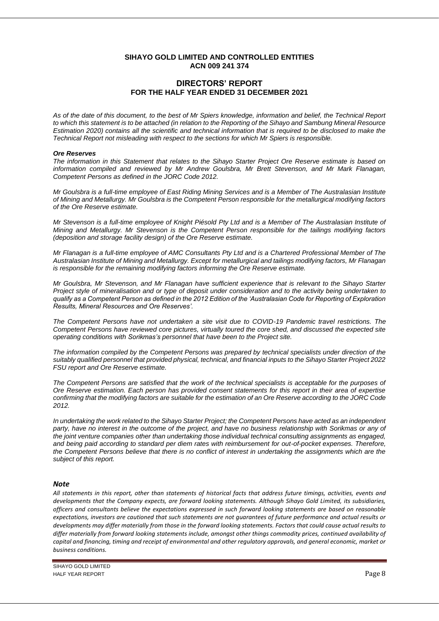## **DIRECTORS' REPORT FOR THE HALF YEAR ENDED 31 DECEMBER 2021**

*As of the date of this document, to the best of Mr Spiers knowledge, information and belief, the Technical Report to which this statement is to be attached (in relation to the Reporting of the Sihayo and Sambung Mineral Resource Estimation 2020) contains all the scientific and technical information that is required to be disclosed to make the Technical Report not misleading with respect to the sections for which Mr Spiers is responsible.*

#### *Ore Reserves*

*The information in this Statement that relates to the Sihayo Starter Project Ore Reserve estimate is based on information compiled and reviewed by Mr Andrew Goulsbra, Mr Brett Stevenson, and Mr Mark Flanagan, Competent Persons as defined in the JORC Code 2012.* 

*Mr Goulsbra is a full-time employee of East Riding Mining Services and is a Member of The Australasian Institute of Mining and Metallurgy. Mr Goulsbra is the Competent Person responsible for the metallurgical modifying factors of the Ore Reserve estimate.* 

*Mr Stevenson is a full-time employee of Knight Piésold Pty Ltd and is a Member of The Australasian Institute of Mining and Metallurgy. Mr Stevenson is the Competent Person responsible for the tailings modifying factors (deposition and storage facility design) of the Ore Reserve estimate.* 

*Mr Flanagan is a full-time employee of AMC Consultants Pty Ltd and is a Chartered Professional Member of The Australasian Institute of Mining and Metallurgy. Except for metallurgical and tailings modifying factors, Mr Flanagan is responsible for the remaining modifying factors informing the Ore Reserve estimate.* 

*Mr Goulsbra, Mr Stevenson, and Mr Flanagan have sufficient experience that is relevant to the Sihayo Starter Project style of mineralisation and or type of deposit under consideration and to the activity being undertaken to qualify as a Competent Person as defined in the 2012 Edition of the 'Australasian Code for Reporting of Exploration Results, Mineral Resources and Ore Reserves'.* 

*The Competent Persons have not undertaken a site visit due to COVID-19 Pandemic travel restrictions. The Competent Persons have reviewed core pictures, virtually toured the core shed, and discussed the expected site operating conditions with Sorikmas's personnel that have been to the Project site.* 

*The information compiled by the Competent Persons was prepared by technical specialists under direction of the suitably qualified personnel that provided physical, technical, and financial inputs to the Sihayo Starter Project 2022 FSU report and Ore Reserve estimate.* 

*The Competent Persons are satisfied that the work of the technical specialists is acceptable for the purposes of Ore Reserve estimation. Each person has provided consent statements for this report in their area of expertise confirming that the modifying factors are suitable for the estimation of an Ore Reserve according to the JORC Code 2012.*

*In undertaking the work related to the Sihayo Starter Project; the Competent Persons have acted as an independent party, have no interest in the outcome of the project, and have no business relationship with Sorikmas or any of the joint venture companies other than undertaking those individual technical consulting assignments as engaged, and being paid according to standard per diem rates with reimbursement for out-of-pocket expenses. Therefore, the Competent Persons believe that there is no conflict of interest in undertaking the assignments which are the subject of this report.*

#### *Note*

*All statements in this report, other than statements of historical facts that address future timings, activities, events and developments that the Company expects, are forward looking statements. Although Sihayo Gold Limited, its subsidiaries, officers and consultants believe the expectations expressed in such forward looking statements are based on reasonable expectations, investors are cautioned that such statements are not guarantees of future performance and actual results or developments may differ materially from those in the forward looking statements. Factors that could cause actual results to differ materially from forward looking statements include, amongst other things commodity prices, continued availability of capital and financing, timing and receipt of environmental and other regulatory approvals, and general economic, market or business conditions.*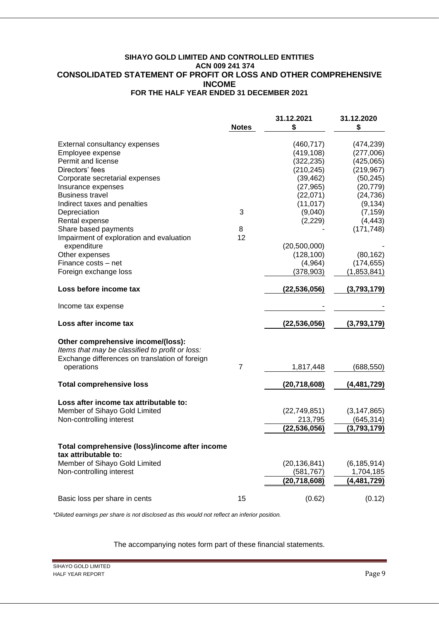## **SIHAYO GOLD LIMITED AND CONTROLLED ENTITIES ACN 009 241 374 CONSOLIDATED STATEMENT OF PROFIT OR LOSS AND OTHER COMPREHENSIVE INCOME FOR THE HALF YEAR ENDED 31 DECEMBER 2021**

|                                                                                                                                         | <b>Notes</b>   | 31.12.2021<br>S | 31.12.2020<br>\$ |
|-----------------------------------------------------------------------------------------------------------------------------------------|----------------|-----------------|------------------|
| External consultancy expenses                                                                                                           |                | (460, 717)      | (474, 239)       |
| Employee expense                                                                                                                        |                | (419, 108)      | (277,006)        |
| Permit and license                                                                                                                      |                | (322, 235)      | (425, 065)       |
| Directors' fees                                                                                                                         |                | (210, 245)      | (219, 967)       |
| Corporate secretarial expenses                                                                                                          |                | (39, 462)       | (50, 245)        |
| Insurance expenses                                                                                                                      |                | (27, 965)       | (20, 779)        |
| <b>Business travel</b>                                                                                                                  |                |                 |                  |
|                                                                                                                                         |                | (22,071)        | (24, 736)        |
| Indirect taxes and penalties                                                                                                            |                | (11, 017)       | (9, 134)         |
| Depreciation                                                                                                                            | 3              | (9,040)         | (7, 159)         |
| Rental expense                                                                                                                          |                | (2,229)         | (4, 443)         |
| Share based payments                                                                                                                    | 8              |                 | (171, 748)       |
| Impairment of exploration and evaluation                                                                                                | 12             |                 |                  |
| expenditure                                                                                                                             |                | (20,500,000)    |                  |
| Other expenses                                                                                                                          |                | (128, 100)      | (80, 162)        |
| Finance costs - net                                                                                                                     |                | (4,964)         | (174, 655)       |
| Foreign exchange loss                                                                                                                   |                | (378, 903)      | (1,853,841)      |
| Loss before income tax                                                                                                                  |                | (22, 536, 056)  | (3,793,179)      |
| Income tax expense                                                                                                                      |                |                 |                  |
| Loss after income tax                                                                                                                   |                | (22, 536, 056)  | (3,793,179)      |
| Other comprehensive income/(loss):<br>Items that may be classified to profit or loss:<br>Exchange differences on translation of foreign |                |                 |                  |
| operations                                                                                                                              | $\overline{7}$ | 1,817,448       | (688,550)        |
| <b>Total comprehensive loss</b>                                                                                                         |                | (20, 718, 608)  | (4,481,729)      |
| Loss after income tax attributable to:                                                                                                  |                |                 |                  |
| Member of Sihayo Gold Limited                                                                                                           |                | (22, 749, 851)  | (3, 147, 865)    |
| Non-controlling interest                                                                                                                |                | 213,795         | (645,314)        |
|                                                                                                                                         |                | (22, 536, 056)  | (3,793,179)      |
| Total comprehensive (loss)/income after income<br>tax attributable to:                                                                  |                |                 |                  |
| Member of Sihayo Gold Limited                                                                                                           |                | (20, 136, 841)  | (6, 185, 914)    |
| Non-controlling interest                                                                                                                |                | (581, 767)      | 1,704,185        |
|                                                                                                                                         |                | (20, 718, 608)  | (4,481,729)      |
| Basic loss per share in cents                                                                                                           | 15             | (0.62)          | (0.12)           |

*\*Diluted earnings per share is not disclosed as this would not reflect an inferior position.*

The accompanying notes form part of these financial statements.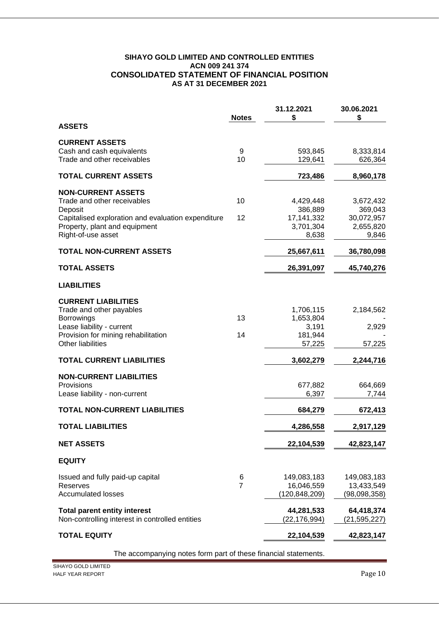## **SIHAYO GOLD LIMITED AND CONTROLLED ENTITIES ACN 009 241 374 CONSOLIDATED STATEMENT OF FINANCIAL POSITION AS AT 31 DECEMBER 2021**

|                                                     | <b>Notes</b>   | 31.12.2021<br>\$   | 30.06.2021<br>\$   |
|-----------------------------------------------------|----------------|--------------------|--------------------|
| <b>ASSETS</b>                                       |                |                    |                    |
| <b>CURRENT ASSETS</b>                               |                |                    |                    |
| Cash and cash equivalents                           | 9              | 593,845            | 8,333,814          |
| Trade and other receivables                         | 10             | 129,641            | 626,364            |
| <b>TOTAL CURRENT ASSETS</b>                         |                | 723,486            | 8,960,178          |
| <b>NON-CURRENT ASSETS</b>                           |                |                    |                    |
| Trade and other receivables                         | 10             | 4,429,448          | 3,672,432          |
| Deposit                                             |                | 386,889            | 369,043            |
| Capitalised exploration and evaluation expenditure  | 12             | 17, 141, 332       | 30,072,957         |
| Property, plant and equipment<br>Right-of-use asset |                | 3,701,304<br>8,638 | 2,655,820<br>9,846 |
|                                                     |                |                    |                    |
| <b>TOTAL NON-CURRENT ASSETS</b>                     |                | 25,667,611         | 36,780,098         |
| <b>TOTAL ASSETS</b>                                 |                | 26,391,097         | 45,740,276         |
| <b>LIABILITIES</b>                                  |                |                    |                    |
| <b>CURRENT LIABILITIES</b>                          |                |                    |                    |
| Trade and other payables                            |                | 1,706,115          | 2,184,562          |
| <b>Borrowings</b>                                   | 13             | 1,653,804          |                    |
| Lease liability - current                           |                | 3,191              | 2,929              |
| Provision for mining rehabilitation                 | 14             | 181,944            |                    |
| <b>Other liabilities</b>                            |                | 57,225             | 57,225             |
| <b>TOTAL CURRENT LIABILITIES</b>                    |                | 3,602,279          | 2,244,716          |
| <b>NON-CURRENT LIABILITIES</b>                      |                |                    |                    |
| Provisions                                          |                | 677,882            | 664,669            |
| Lease liability - non-current                       |                | 6,397              | 7,744              |
| <b>TOTAL NON-CURRENT LIABILITIES</b>                |                | 684,279            | 672,413            |
| <b>TOTAL LIABILITIES</b>                            |                | 4,286,558          | 2,917,129          |
| <b>NET ASSETS</b>                                   |                | 22,104,539         | 42,823,147         |
| <b>EQUITY</b>                                       |                |                    |                    |
| Issued and fully paid-up capital                    | 6              | 149,083,183        | 149,083,183        |
| Reserves                                            | $\overline{7}$ | 16,046,559         | 13,433,549         |
| <b>Accumulated losses</b>                           |                | (120,848,209)      | (98,098,358)       |
| <b>Total parent entity interest</b>                 |                | 44,281,533         | 64,418,374         |
| Non-controlling interest in controlled entities     |                | (22, 176, 994)     | (21, 595, 227)     |
| <b>TOTAL EQUITY</b>                                 |                | 22,104,539         | 42,823,147         |
|                                                     |                |                    |                    |

The accompanying notes form part of these financial statements.

SIHAYO GOLD LIMITED HALF YEAR REPORT PAGE 10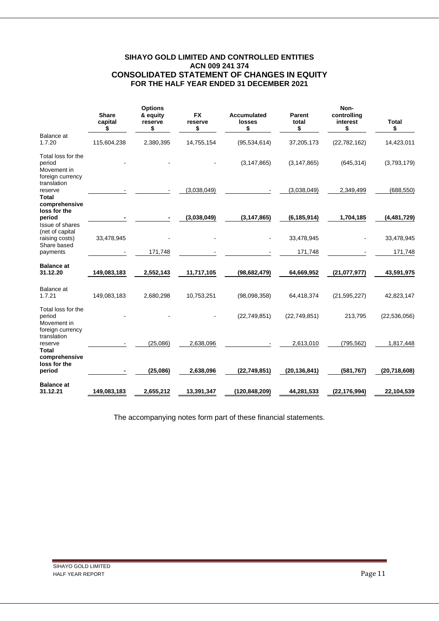## **SIHAYO GOLD LIMITED AND CONTROLLED ENTITIES ACN 009 241 374 CONSOLIDATED STATEMENT OF CHANGES IN EQUITY FOR THE HALF YEAR ENDED 31 DECEMBER 2021**

|                                                                            | <b>Share</b><br>capital<br>\$ | <b>Options</b><br>& equity<br>reserve<br>\$ | <b>FX</b><br>reserve<br>\$ | Accumulated<br>losses<br>\$ | Parent<br>total<br>\$ | Non-<br>controlling<br>interest<br>\$ | <b>Total</b><br>\$ |
|----------------------------------------------------------------------------|-------------------------------|---------------------------------------------|----------------------------|-----------------------------|-----------------------|---------------------------------------|--------------------|
| Balance at<br>1.7.20                                                       | 115,604,238                   | 2,380,395                                   | 14,755,154                 | (95, 534, 614)              | 37,205,173            | (22, 782, 162)                        | 14,423,011         |
| Total loss for the<br>period<br>Movement in<br>foreign currency            |                               |                                             |                            | (3, 147, 865)               | (3, 147, 865)         | (645, 314)                            | (3,793,179)        |
| translation<br>reserve                                                     |                               |                                             | (3,038,049)                |                             | (3,038,049)           | 2,349,499                             | (688, 550)         |
| <b>Total</b><br>comprehensive<br>loss for the<br>period<br>Issue of shares |                               |                                             | (3,038,049)                | (3, 147, 865)               | (6, 185, 914)         | 1,704,185                             | (4,481,729)        |
| (net of capital<br>raising costs)                                          | 33,478,945                    |                                             |                            |                             | 33,478,945            |                                       | 33,478,945         |
| Share based<br>payments                                                    |                               | 171,748                                     |                            |                             | 171,748               |                                       | 171,748            |
| <b>Balance at</b><br>31.12.20                                              | 149,083,183                   | 2,552,143                                   | 11,717,105                 | (98, 682, 479)              | 64,669,952            | (21,077,977)                          | 43,591,975         |
| Balance at<br>1.7.21                                                       | 149,083,183                   | 2,680,298                                   | 10,753,251                 | (98,098,358)                | 64,418,374            | (21, 595, 227)                        | 42,823,147         |
| Total loss for the<br>period<br>Movement in<br>foreign currency            |                               |                                             |                            | (22,749,851)                | (22, 749, 851)        | 213,795                               | (22, 536, 056)     |
| translation<br>reserve<br><b>Total</b><br>comprehensive                    |                               | (25.086)                                    | 2,638,096                  |                             | 2,613,010             | (795, 562)                            | 1,817,448          |
| loss for the<br>period                                                     |                               | (25,086)                                    | 2,638,096                  | (22, 749, 851)              | (20, 136, 841)        | (581, 767)                            | (20, 718, 608)     |
| <b>Balance</b> at<br>31.12.21                                              | 149,083,183                   | 2,655,212                                   | 13,391,347                 | (120,848,209)               | 44,281,533            | (22,176,994)                          | 22,104,539         |

The accompanying notes form part of these financial statements.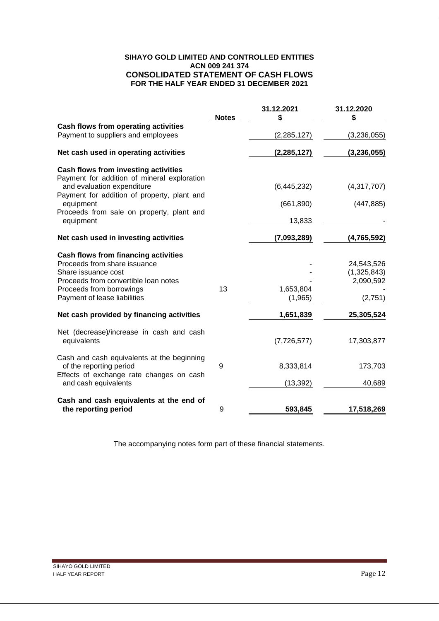## **SIHAYO GOLD LIMITED AND CONTROLLED ENTITIES ACN 009 241 374 CONSOLIDATED STATEMENT OF CASH FLOWS FOR THE HALF YEAR ENDED 31 DECEMBER 2021**

|                                                                                                                   | <b>Notes</b> | 31.12.2021<br>S | 31.12.2020<br>\$ |
|-------------------------------------------------------------------------------------------------------------------|--------------|-----------------|------------------|
| Cash flows from operating activities                                                                              |              |                 |                  |
| Payment to suppliers and employees                                                                                |              | (2, 285, 127)   | (3,236,055)      |
| Net cash used in operating activities                                                                             |              | (2, 285, 127)   | (3, 236, 055)    |
| Cash flows from investing activities<br>Payment for addition of mineral exploration<br>and evaluation expenditure |              | (6,445,232)     | (4,317,707)      |
| Payment for addition of property, plant and                                                                       |              |                 |                  |
| equipment                                                                                                         |              | (661, 890)      | (447, 885)       |
| Proceeds from sale on property, plant and<br>equipment                                                            |              | 13,833          |                  |
| Net cash used in investing activities                                                                             |              | (7,093,289)     | (4,765,592)      |
| Cash flows from financing activities                                                                              |              |                 |                  |
| Proceeds from share issuance                                                                                      |              |                 | 24,543,526       |
| Share issuance cost                                                                                               |              |                 | (1,325,843)      |
| Proceeds from convertible loan notes<br>Proceeds from borrowings                                                  | 13           | 1,653,804       | 2,090,592        |
| Payment of lease liabilities                                                                                      |              | (1, 965)        | (2,751)          |
| Net cash provided by financing activities                                                                         |              | 1,651,839       | 25,305,524       |
| Net (decrease)/increase in cash and cash                                                                          |              |                 |                  |
| equivalents                                                                                                       |              | (7,726,577)     | 17,303,877       |
| Cash and cash equivalents at the beginning                                                                        |              |                 |                  |
| of the reporting period<br>Effects of exchange rate changes on cash                                               | 9            | 8,333,814       | 173,703          |
| and cash equivalents                                                                                              |              | (13, 392)       | 40,689           |
| Cash and cash equivalents at the end of                                                                           |              |                 |                  |
| the reporting period                                                                                              | 9            | 593,845         | 17,518,269       |

The accompanying notes form part of these financial statements.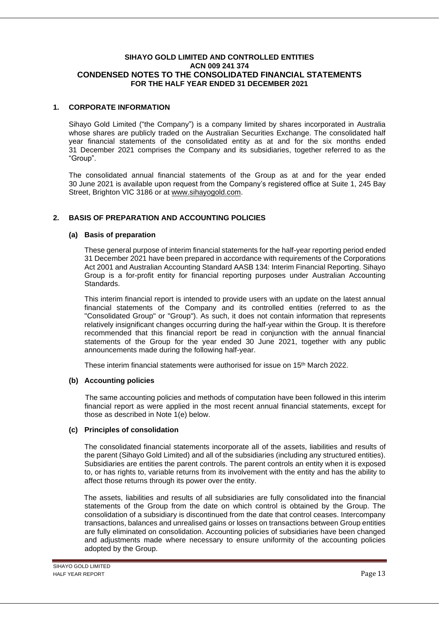### **1. CORPORATE INFORMATION**

Sihayo Gold Limited ("the Company") is a company limited by shares incorporated in Australia whose shares are publicly traded on the Australian Securities Exchange. The consolidated half year financial statements of the consolidated entity as at and for the six months ended 31 December 2021 comprises the Company and its subsidiaries, together referred to as the "Group".

The consolidated annual financial statements of the Group as at and for the year ended 30 June 2021 is available upon request from the Company's registered office at Suite 1, 245 Bay Street, Brighton VIC 3186 or at [www.sihayogold.com.](http://www.sihayogold.com/)

## **2. BASIS OF PREPARATION AND ACCOUNTING POLICIES**

## **(a) Basis of preparation**

These general purpose of interim financial statements for the half-year reporting period ended 31 December 2021 have been prepared in accordance with requirements of the Corporations Act 2001 and Australian Accounting Standard AASB 134: Interim Financial Reporting. Sihayo Group is a for-profit entity for financial reporting purposes under Australian Accounting Standards.

This interim financial report is intended to provide users with an update on the latest annual financial statements of the Company and its controlled entities (referred to as the "Consolidated Group" or "Group"). As such, it does not contain information that represents relatively insignificant changes occurring during the half-year within the Group. It is therefore recommended that this financial report be read in conjunction with the annual financial statements of the Group for the year ended 30 June 2021, together with any public announcements made during the following half-year.

These interim financial statements were authorised for issue on 15<sup>th</sup> March 2022.

## **(b) Accounting policies**

The same accounting policies and methods of computation have been followed in this interim financial report as were applied in the most recent annual financial statements, except for those as described in Note 1(e) below.

## **(c) Principles of consolidation**

The consolidated financial statements incorporate all of the assets, liabilities and results of the parent (Sihayo Gold Limited) and all of the subsidiaries (including any structured entities). Subsidiaries are entities the parent controls. The parent controls an entity when it is exposed to, or has rights to, variable returns from its involvement with the entity and has the ability to affect those returns through its power over the entity.

The assets, liabilities and results of all subsidiaries are fully consolidated into the financial statements of the Group from the date on which control is obtained by the Group. The consolidation of a subsidiary is discontinued from the date that control ceases. Intercompany transactions, balances and unrealised gains or losses on transactions between Group entities are fully eliminated on consolidation. Accounting policies of subsidiaries have been changed and adjustments made where necessary to ensure uniformity of the accounting policies adopted by the Group.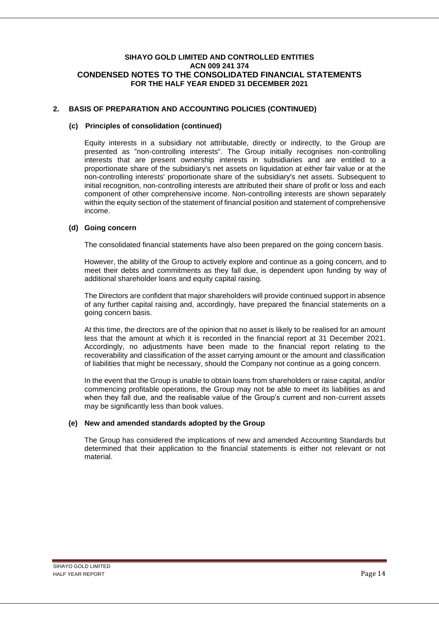## **2. BASIS OF PREPARATION AND ACCOUNTING POLICIES (CONTINUED)**

#### **(c) Principles of consolidation (continued)**

Equity interests in a subsidiary not attributable, directly or indirectly, to the Group are presented as "non-controlling interests". The Group initially recognises non-controlling interests that are present ownership interests in subsidiaries and are entitled to a proportionate share of the subsidiary's net assets on liquidation at either fair value or at the non-controlling interests' proportionate share of the subsidiary's net assets. Subsequent to initial recognition, non-controlling interests are attributed their share of profit or loss and each component of other comprehensive income. Non-controlling interests are shown separately within the equity section of the statement of financial position and statement of comprehensive income.

#### **(d) Going concern**

The consolidated financial statements have also been prepared on the going concern basis.

However, the ability of the Group to actively explore and continue as a going concern, and to meet their debts and commitments as they fall due, is dependent upon funding by way of additional shareholder loans and equity capital raising.

The Directors are confident that major shareholders will provide continued support in absence of any further capital raising and, accordingly, have prepared the financial statements on a going concern basis.

At this time, the directors are of the opinion that no asset is likely to be realised for an amount less that the amount at which it is recorded in the financial report at 31 December 2021. Accordingly, no adjustments have been made to the financial report relating to the recoverability and classification of the asset carrying amount or the amount and classification of liabilities that might be necessary, should the Company not continue as a going concern.

In the event that the Group is unable to obtain loans from shareholders or raise capital, and/or commencing profitable operations, the Group may not be able to meet its liabilities as and when they fall due, and the realisable value of the Group's current and non-current assets may be significantly less than book values.

## **(e) New and amended standards adopted by the Group**

The Group has considered the implications of new and amended Accounting Standards but determined that their application to the financial statements is either not relevant or not material.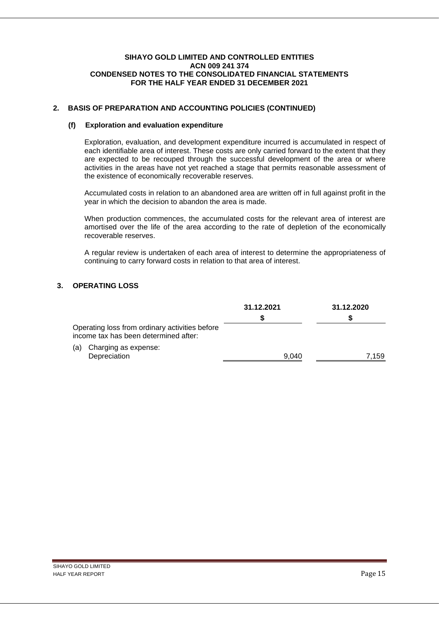## **2. BASIS OF PREPARATION AND ACCOUNTING POLICIES (CONTINUED)**

## **(f) Exploration and evaluation expenditure**

Exploration, evaluation, and development expenditure incurred is accumulated in respect of each identifiable area of interest. These costs are only carried forward to the extent that they are expected to be recouped through the successful development of the area or where activities in the areas have not yet reached a stage that permits reasonable assessment of the existence of economically recoverable reserves.

Accumulated costs in relation to an abandoned area are written off in full against profit in the year in which the decision to abandon the area is made.

When production commences, the accumulated costs for the relevant area of interest are amortised over the life of the area according to the rate of depletion of the economically recoverable reserves.

A regular review is undertaken of each area of interest to determine the appropriateness of continuing to carry forward costs in relation to that area of interest.

## **3. OPERATING LOSS**

|                                                                                         | 31.12.2021 | 31.12.2020 |
|-----------------------------------------------------------------------------------------|------------|------------|
| Operating loss from ordinary activities before<br>income tax has been determined after: |            |            |
| Charging as expense:<br>(a)<br>Depreciation                                             | 9.040      | .159       |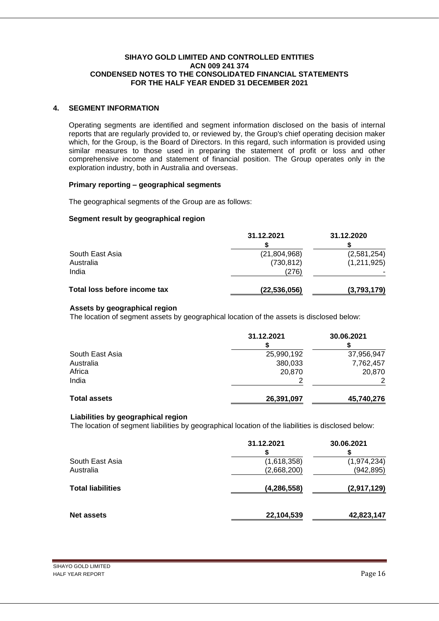## **4. SEGMENT INFORMATION**

Operating segments are identified and segment information disclosed on the basis of internal reports that are regularly provided to, or reviewed by, the Group's chief operating decision maker which, for the Group, is the Board of Directors. In this regard, such information is provided using similar measures to those used in preparing the statement of profit or loss and other comprehensive income and statement of financial position. The Group operates only in the exploration industry, both in Australia and overseas.

#### **Primary reporting – geographical segments**

The geographical segments of the Group are as follows:

## **Segment result by geographical region**

|                              | 31.12.2021     | 31.12.2020  |
|------------------------------|----------------|-------------|
|                              |                |             |
| South East Asia              | (21, 804, 968) | (2,581,254) |
| Australia                    | (730, 812)     | (1,211,925) |
| India                        | (276)          |             |
| Total loss before income tax | (22, 536, 056) | (3,793,179) |

#### **Assets by geographical region**

The location of segment assets by geographical location of the assets is disclosed below:

|                     | 31.12.2021 | 30.06.2021 |
|---------------------|------------|------------|
| South East Asia     | 25,990,192 | 37,956,947 |
| Australia           | 380,033    | 7,762,457  |
| Africa              | 20,870     | 20,870     |
| India               |            |            |
| <b>Total assets</b> | 26,391,097 | 45,740,276 |

#### **Liabilities by geographical region**

The location of segment liabilities by geographical location of the liabilities is disclosed below:

|                          | 31.12.2021    | 30.06.2021  |
|--------------------------|---------------|-------------|
| South East Asia          | (1,618,358)   | (1,974,234) |
| Australia                | (2,668,200)   | (942, 895)  |
| <b>Total liabilities</b> | (4, 286, 558) | (2,917,129) |
| <b>Net assets</b>        | 22,104,539    | 42,823,147  |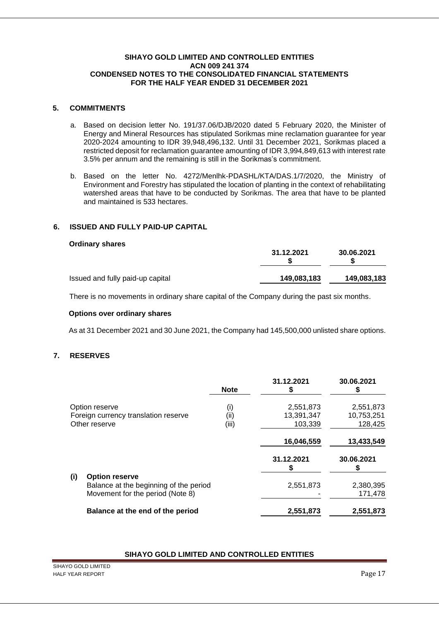## **5. COMMITMENTS**

- a. Based on decision letter No. 191/37.06/DJB/2020 dated 5 February 2020, the Minister of Energy and Mineral Resources has stipulated Sorikmas mine reclamation guarantee for year 2020-2024 amounting to IDR 39,948,496,132. Until 31 December 2021, Sorikmas placed a restricted deposit for reclamation guarantee amounting of IDR 3,994,849,613 with interest rate 3.5% per annum and the remaining is still in the Sorikmas's commitment.
- b. Based on the letter No. 4272/Menlhk-PDASHL/KTA/DAS.1/7/2020, the Ministry of Environment and Forestry has stipulated the location of planting in the context of rehabilitating watershed areas that have to be conducted by Sorikmas. The area that have to be planted and maintained is 533 hectares.

## **6. ISSUED AND FULLY PAID-UP CAPITAL**

#### **Ordinary shares**

|                                  | 31.12.2021  | 30.06.2021  |
|----------------------------------|-------------|-------------|
| Issued and fully paid-up capital | 149,083,183 | 149.083.183 |

There is no movements in ordinary share capital of the Company during the past six months.

#### **Options over ordinary shares**

As at 31 December 2021 and 30 June 2021, the Company had 145,500,000 unlisted share options.

## **7. RESERVES**

|     |                                                                 | <b>Note</b> | 31.12.2021 | 30.06.2021 |
|-----|-----------------------------------------------------------------|-------------|------------|------------|
|     | Option reserve                                                  | (i)         | 2,551,873  | 2,551,873  |
|     | Foreign currency translation reserve                            | (ii)        | 13,391,347 | 10,753,251 |
|     | Other reserve                                                   | (iii)       | 103,339    | 128,425    |
|     |                                                                 |             | 16,046,559 | 13,433,549 |
|     |                                                                 |             | 31.12.2021 | 30.06.2021 |
| (i) | <b>Option reserve</b><br>Balance at the beginning of the period |             | 2,551,873  | 2,380,395  |
|     | Movement for the period (Note 8)                                |             |            | 171,478    |
|     | Balance at the end of the period                                |             | 2,551,873  | 2,551,873  |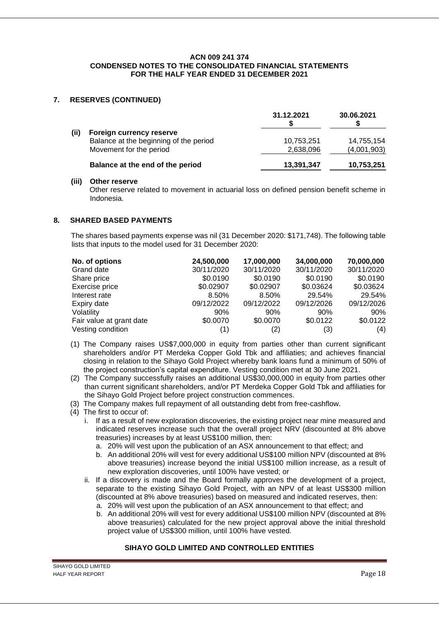## **7. RESERVES (CONTINUED)**

|      |                                                                                               | 31.12.2021              | 30.06.2021                |
|------|-----------------------------------------------------------------------------------------------|-------------------------|---------------------------|
| (ii) | Foreign currency reserve<br>Balance at the beginning of the period<br>Movement for the period | 10,753,251<br>2,638,096 | 14,755,154<br>(4,001,903) |
|      | Balance at the end of the period                                                              | 13,391,347              | 10,753,251                |

#### **(iii) Other reserve**

Other reserve related to movement in actuarial loss on defined pension benefit scheme in Indonesia.

## **8. SHARED BASED PAYMENTS**

The shares based payments expense was nil (31 December 2020: \$171,748). The following table lists that inputs to the model used for 31 December 2020:

| No. of options           | 24,500,000 | 17,000,000 | 34,000,000 | 70,000,000 |
|--------------------------|------------|------------|------------|------------|
| Grand date               | 30/11/2020 | 30/11/2020 | 30/11/2020 | 30/11/2020 |
| Share price              | \$0.0190   | \$0.0190   | \$0.0190   | \$0.0190   |
| Exercise price           | \$0.02907  | \$0.02907  | \$0.03624  | \$0.03624  |
| Interest rate            | 8.50%      | 8.50%      | 29.54%     | 29.54%     |
| Expiry date              | 09/12/2022 | 09/12/2022 | 09/12/2026 | 09/12/2026 |
| Volatility               | $90\%$     | 90%        | 90%        | 90%        |
| Fair value at grant date | \$0.0070   | \$0.0070   | \$0.0122   | \$0.0122   |
| Vesting condition        | (1)        | (2)        | (3)        | (4)        |

- (1) The Company raises US\$7,000,000 in equity from parties other than current significant shareholders and/or PT Merdeka Copper Gold Tbk and affiliaties; and achieves financial closing in relation to the Sihayo Gold Project whereby bank loans fund a minimum of 50% of the project construction's capital expenditure. Vesting condition met at 30 June 2021.
- (2) The Company successfully raises an additional US\$30,000,000 in equity from parties other than current significant shareholders, and/or PT Merdeka Copper Gold Tbk and affiliaties for the Sihayo Gold Project before project construction commences.
- (3) The Company makes full repayment of all outstanding debt from free-cashflow.
- (4) The first to occur of:
	- i. If as a result of new exploration discoveries, the existing project near mine measured and indicated reserves increase such that the overall project NRV (discounted at 8% above treasuries) increases by at least US\$100 million, then:
		- a. 20% will vest upon the publication of an ASX announcement to that effect; and
		- b. An additional 20% will vest for every additional US\$100 million NPV (discounted at 8% above treasuries) increase beyond the initial US\$100 million increase, as a result of new exploration discoveries, until 100% have vested; or
	- ii. If a discovery is made and the Board formally approves the development of a project, separate to the existing Sihayo Gold Project, with an NPV of at least US\$300 million (discounted at 8% above treasuries) based on measured and indicated reserves, then:
		- a. 20% will vest upon the publication of an ASX announcement to that effect; and
		- b. An additional 20% will vest for every additional US\$100 million NPV (discounted at 8% above treasuries) calculated for the new project approval above the initial threshold project value of US\$300 million, until 100% have vested.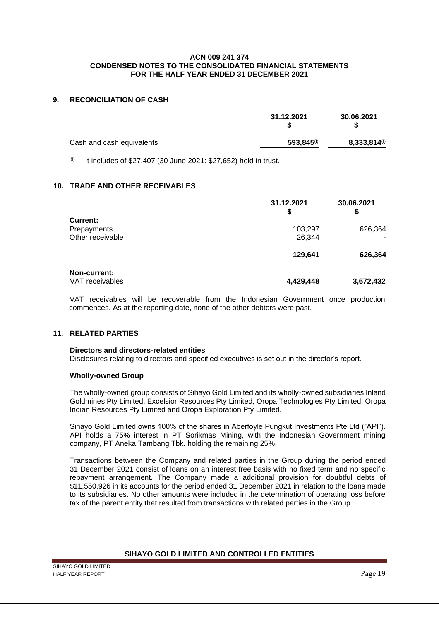## **9. RECONCILIATION OF CASH**

|                           | 31.12.2021      | 30.06.2021   |
|---------------------------|-----------------|--------------|
| Cash and cash equivalents | $593.845^{(i)}$ | 8,333,814(i) |

 $(i)$  It includes of \$27,407 (30 June 2021: \$27,652) held in trust.

## **10. TRADE AND OTHER RECEIVABLES**

|                  | 31.12.2021 | 30.06.2021 |
|------------------|------------|------------|
| Current:         |            |            |
| Prepayments      | 103,297    | 626,364    |
| Other receivable | 26,344     |            |
|                  | 129,641    | 626,364    |
| Non-current:     |            |            |
| VAT receivables  | 4,429,448  | 3,672,432  |

VAT receivables will be recoverable from the Indonesian Government once production commences. As at the reporting date, none of the other debtors were past.

## **11. RELATED PARTIES**

#### **Directors and directors-related entities**

Disclosures relating to directors and specified executives is set out in the director's report.

#### **Wholly-owned Group**

The wholly-owned group consists of Sihayo Gold Limited and its wholly-owned subsidiaries Inland Goldmines Pty Limited, Excelsior Resources Pty Limited, Oropa Technologies Pty Limited, Oropa Indian Resources Pty Limited and Oropa Exploration Pty Limited.

Sihayo Gold Limited owns 100% of the shares in Aberfoyle Pungkut Investments Pte Ltd ("API"). API holds a 75% interest in PT Sorikmas Mining, with the Indonesian Government mining company, PT Aneka Tambang Tbk. holding the remaining 25%.

Transactions between the Company and related parties in the Group during the period ended 31 December 2021 consist of loans on an interest free basis with no fixed term and no specific repayment arrangement. The Company made a additional provision for doubtful debts of \$11,550,926 in its accounts for the period ended 31 December 2021 in relation to the loans made to its subsidiaries. No other amounts were included in the determination of operating loss before tax of the parent entity that resulted from transactions with related parties in the Group.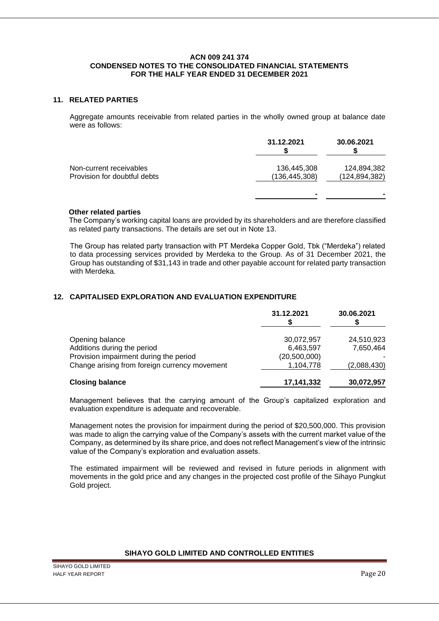### **11. RELATED PARTIES**

Aggregate amounts receivable from related parties in the wholly owned group at balance date were as follows:

|                                                         | 31.12.2021                     | 30.06.2021                     |
|---------------------------------------------------------|--------------------------------|--------------------------------|
| Non-current receivables<br>Provision for doubtful debts | 136,445,308<br>(136, 445, 308) | 124,894,382<br>(124, 894, 382) |
|                                                         |                                |                                |

## **Other related parties**

The Company's working capital loans are provided by its shareholders and are therefore classified as related party transactions. The details are set out in Note 13.

The Group has related party transaction with PT Merdeka Copper Gold, Tbk ("Merdeka") related to data processing services provided by Merdeka to the Group. As of 31 December 2021, the Group has outstanding of \$31,143 in trade and other payable account for related party transaction with Merdeka.

## **12. CAPITALISED EXPLORATION AND EVALUATION EXPENDITURE**

|                                               | 31.12.2021     | 30.06.2021  |
|-----------------------------------------------|----------------|-------------|
| Opening balance                               | 30,072,957     | 24,510,923  |
| Additions during the period                   | 6,463,597      | 7,650,464   |
| Provision impairment during the period        | (20, 500, 000) |             |
| Change arising from foreign currency movement | 1,104,778      | (2,088,430) |
| <b>Closing balance</b>                        | 17,141,332     | 30,072,957  |

Management believes that the carrying amount of the Group's capitalized exploration and evaluation expenditure is adequate and recoverable.

Management notes the provision for impairment during the period of \$20,500,000. This provision was made to align the carrying value of the Company's assets with the current market value of the Company, as determined by its share price, and does not reflect Management's view of the intrinsic value of the Company's exploration and evaluation assets.

The estimated impairment will be reviewed and revised in future periods in alignment with movements in the gold price and any changes in the projected cost profile of the Sihayo Pungkut Gold project.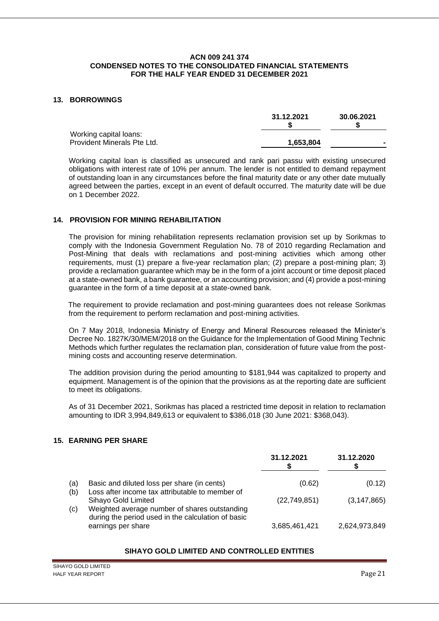### **13. BORROWINGS**

|                             | 31.12.2021 | 30.06.2021 |
|-----------------------------|------------|------------|
| Working capital loans:      |            |            |
| Provident Minerals Pte Ltd. | 1,653,804  |            |

Working capital loan is classified as unsecured and rank pari passu with existing unsecured obligations with interest rate of 10% per annum. The lender is not entitled to demand repayment of outstanding loan in any circumstances before the final maturity date or any other date mutually agreed between the parties, except in an event of default occurred. The maturity date will be due on 1 December 2022.

## **14. PROVISION FOR MINING REHABILITATION**

The provision for mining rehabilitation represents reclamation provision set up by Sorikmas to comply with the Indonesia Government Regulation No. 78 of 2010 regarding Reclamation and Post-Mining that deals with reclamations and post-mining activities which among other requirements, must (1) prepare a five-year reclamation plan; (2) prepare a post-mining plan; 3) provide a reclamation guarantee which may be in the form of a joint account or time deposit placed at a state-owned bank, a bank guarantee, or an accounting provision; and (4) provide a post-mining guarantee in the form of a time deposit at a state-owned bank.

The requirement to provide reclamation and post-mining guarantees does not release Sorikmas from the requirement to perform reclamation and post-mining activities.

On 7 May 2018, Indonesia Ministry of Energy and Mineral Resources released the Minister's Decree No. 1827K/30/MEM/2018 on the Guidance for the Implementation of Good Mining Technic Methods which further regulates the reclamation plan, consideration of future value from the postmining costs and accounting reserve determination.

The addition provision during the period amounting to \$181,944 was capitalized to property and equipment. Management is of the opinion that the provisions as at the reporting date are sufficient to meet its obligations.

As of 31 December 2021, Sorikmas has placed a restricted time deposit in relation to reclamation amounting to IDR 3,994,849,613 or equivalent to \$386,018 (30 June 2021: \$368,043).

## **15. EARNING PER SHARE**

|            |                                                                                                | 31.12.2021     | 31.12.2020    |
|------------|------------------------------------------------------------------------------------------------|----------------|---------------|
| (a)<br>(b) | Basic and diluted loss per share (in cents)<br>Loss after income tax attributable to member of | (0.62)         | (0.12)        |
| (c)        | Sihayo Gold Limited<br>Weighted average number of shares outstanding                           | (22, 749, 851) | (3, 147, 865) |
|            | during the period used in the calculation of basic<br>earnings per share                       | 3,685,461,421  | 2,624,973,849 |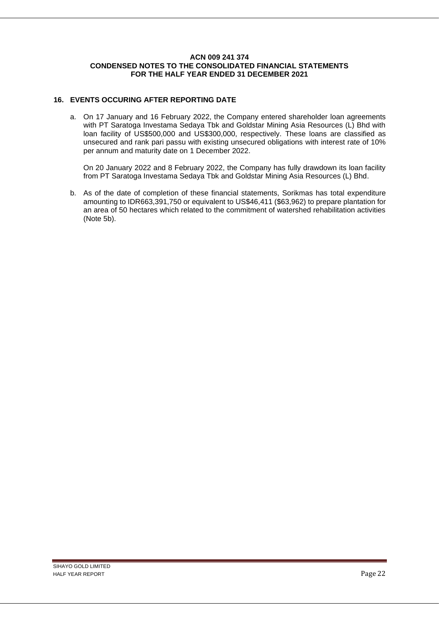## **16. EVENTS OCCURING AFTER REPORTING DATE**

a. On 17 January and 16 February 2022, the Company entered shareholder loan agreements with PT Saratoga Investama Sedaya Tbk and Goldstar Mining Asia Resources (L) Bhd with loan facility of US\$500,000 and US\$300,000, respectively. These loans are classified as unsecured and rank pari passu with existing unsecured obligations with interest rate of 10% per annum and maturity date on 1 December 2022.

On 20 January 2022 and 8 February 2022, the Company has fully drawdown its loan facility from PT Saratoga Investama Sedaya Tbk and Goldstar Mining Asia Resources (L) Bhd.

b. As of the date of completion of these financial statements, Sorikmas has total expenditure amounting to IDR663,391,750 or equivalent to US\$46,411 (\$63,962) to prepare plantation for an area of 50 hectares which related to the commitment of watershed rehabilitation activities (Note 5b).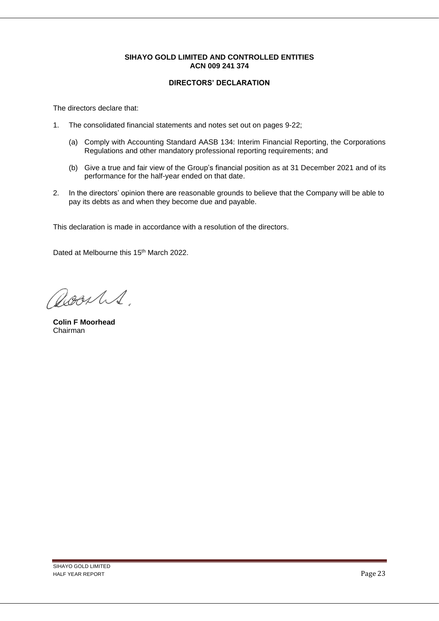## **DIRECTORS' DECLARATION**

The directors declare that:

- 1. The consolidated financial statements and notes set out on pages 9-22;
	- (a) Comply with Accounting Standard AASB 134: Interim Financial Reporting, the Corporations Regulations and other mandatory professional reporting requirements; and
	- (b) Give a true and fair view of the Group's financial position as at 31 December 2021 and of its performance for the half-year ended on that date.
- 2. In the directors' opinion there are reasonable grounds to believe that the Company will be able to pay its debts as and when they become due and payable.

This declaration is made in accordance with a resolution of the directors.

Dated at Melbourne this 15<sup>th</sup> March 2022.

RoorlS.

**Colin F Moorhead** Chairman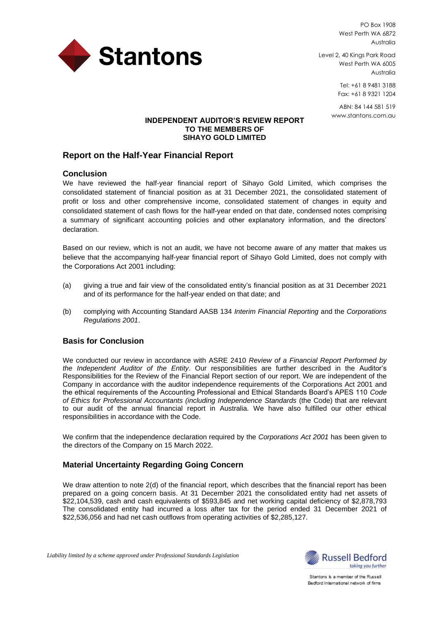

PO Box 1908 West Perth WA 6872 Australia

Level 2, 40 Kings Park Road West Perth WA 6005 Australia

> Tel: +61 8 9481 3188 Fax: +61 8 9321 1204

ABN: 84 144 581 519 www.stantons.com.au

## **INDEPENDENT AUDITOR'S REVIEW REPORT TO THE MEMBERS OF SIHAYO GOLD LIMITED**

## **Report on the Half-Year Financial Report**

## **Conclusion**

We have reviewed the half-year financial report of Sihayo Gold Limited, which comprises the consolidated statement of financial position as at 31 December 2021, the consolidated statement of profit or loss and other comprehensive income, consolidated statement of changes in equity and consolidated statement of cash flows for the half-year ended on that date, condensed notes comprising a summary of significant accounting policies and other explanatory information, and the directors' declaration.

Based on our review, which is not an audit, we have not become aware of any matter that makes us believe that the accompanying half-year financial report of Sihayo Gold Limited, does not comply with the Corporations Act 2001 including:

- (a) giving a true and fair view of the consolidated entity's financial position as at 31 December 2021 and of its performance for the half-year ended on that date; and
- (b) complying with Accounting Standard AASB 134 *Interim Financial Reporting* and the *Corporations Regulations 2001*.

## **Basis for Conclusion**

We conducted our review in accordance with ASRE 2410 *Review of a Financial Report Performed by the Independent Auditor of the Entity*. Our responsibilities are further described in the Auditor's Responsibilities for the Review of the Financial Report section of our report. We are independent of the Company in accordance with the auditor independence requirements of the Corporations Act 2001 and the ethical requirements of the Accounting Professional and Ethical Standards Board's APES 110 *Code of Ethics for Professional Accountants (including Independence Standards* (the Code) that are relevant to our audit of the annual financial report in Australia. We have also fulfilled our other ethical responsibilities in accordance with the Code.

We confirm that the independence declaration required by the *Corporations Act 2001* has been given to the directors of the Company on 15 March 2022.

## **Material Uncertainty Regarding Going Concern**

We draw attention to note 2(d) of the financial report, which describes that the financial report has been prepared on a going concern basis. At 31 December 2021 the consolidated entity had net assets of \$22,104,539, cash and cash equivalents of \$593,845 and net working capital deficiency of \$2,878,793 The consolidated entity had incurred a loss after tax for the period ended 31 December 2021 of \$22,536,056 and had net cash outflows from operating activities of \$2,285,127.



Stantons is a member of the Russell Bedford International network of firms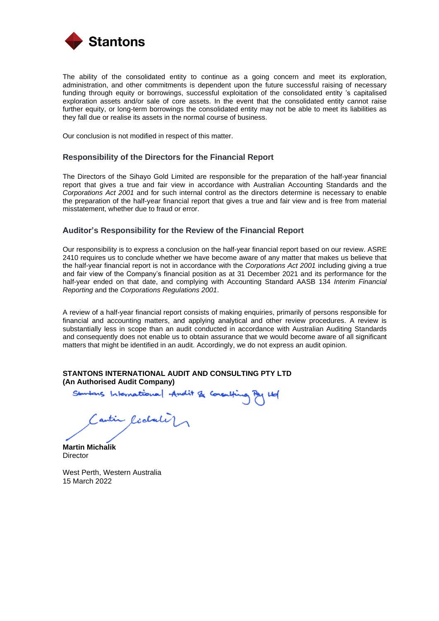

The ability of the consolidated entity to continue as a going concern and meet its exploration, administration, and other commitments is dependent upon the future successful raising of necessary funding through equity or borrowings, successful exploitation of the consolidated entity 's capitalised exploration assets and/or sale of core assets. In the event that the consolidated entity cannot raise further equity, or long-term borrowings the consolidated entity may not be able to meet its liabilities as they fall due or realise its assets in the normal course of business.

Our conclusion is not modified in respect of this matter.

#### **Responsibility of the Directors for the Financial Report**

The Directors of the Sihayo Gold Limited are responsible for the preparation of the half-year financial report that gives a true and fair view in accordance with Australian Accounting Standards and the *Corporations Act 2001* and for such internal control as the directors determine is necessary to enable the preparation of the half-year financial report that gives a true and fair view and is free from material misstatement, whether due to fraud or error.

## **Auditor's Responsibility for the Review of the Financial Report**

Our responsibility is to express a conclusion on the half-year financial report based on our review. ASRE 2410 requires us to conclude whether we have become aware of any matter that makes us believe that the half-year financial report is not in accordance with the *Corporations Act 2001* including giving a true and fair view of the Company's financial position as at 31 December 2021 and its performance for the half-year ended on that date, and complying with Accounting Standard AASB 134 *Interim Financial Reporting* and the *Corporations Regulations 2001*.

A review of a half-year financial report consists of making enquiries, primarily of persons responsible for financial and accounting matters, and applying analytical and other review procedures. A review is substantially less in scope than an audit conducted in accordance with Australian Auditing Standards and consequently does not enable us to obtain assurance that we would become aware of all significant matters that might be identified in an audit. Accordingly, we do not express an audit opinion.

## **STANTONS INTERNATIONAL AUDIT AND CONSULTING PTY LTD (An Authorised Audit Company)**

Standars International Andit & Consulting Pay Ltd

Cantin Richard )

**Martin Michalik Director** 

West Perth, Western Australia 15 March 2022